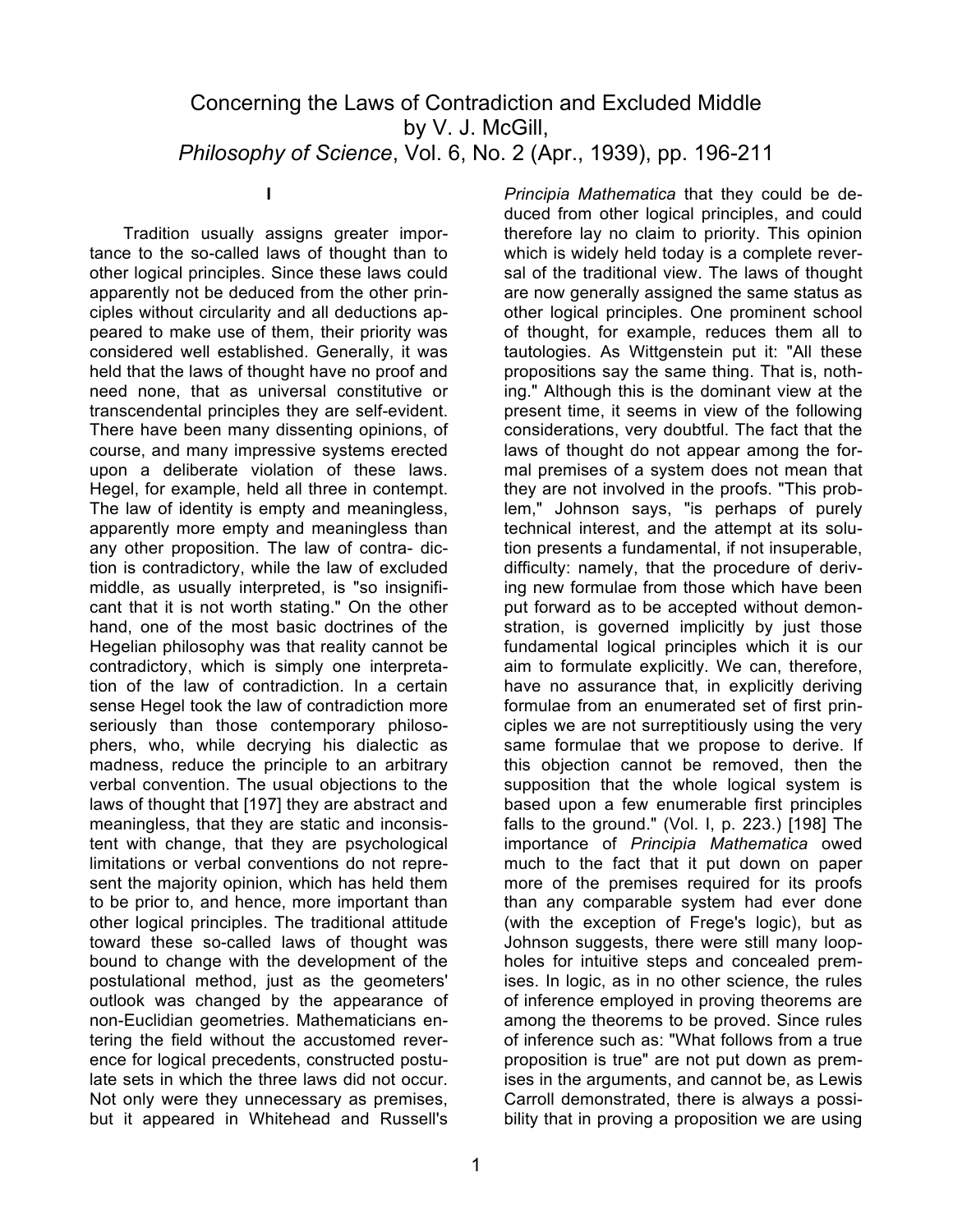## Concerning the Laws of Contradiction and Excluded Middle by V. J. McGill,

*Philosophy of Science*, Vol. 6, No. 2 (Apr., 1939), pp. 196-211

**I**

Tradition usually assigns greater importance to the so-called laws of thought than to other logical principles. Since these laws could apparently not be deduced from the other principles without circularity and all deductions appeared to make use of them, their priority was considered well established. Generally, it was held that the laws of thought have no proof and need none, that as universal constitutive or transcendental principles they are self-evident. There have been many dissenting opinions, of course, and many impressive systems erected upon a deliberate violation of these laws. Hegel, for example, held all three in contempt. The law of identity is empty and meaningless, apparently more empty and meaningless than any other proposition. The law of contra- diction is contradictory, while the law of excluded middle, as usually interpreted, is "so insignificant that it is not worth stating." On the other hand, one of the most basic doctrines of the Hegelian philosophy was that reality cannot be contradictory, which is simply one interpretation of the law of contradiction. In a certain sense Hegel took the law of contradiction more seriously than those contemporary philosophers, who, while decrying his dialectic as madness, reduce the principle to an arbitrary verbal convention. The usual objections to the laws of thought that [197] they are abstract and meaningless, that they are static and inconsistent with change, that they are psychological limitations or verbal conventions do not represent the majority opinion, which has held them to be prior to, and hence, more important than other logical principles. The traditional attitude toward these so-called laws of thought was bound to change with the development of the postulational method, just as the geometers' outlook was changed by the appearance of non-Euclidian geometries. Mathematicians entering the field without the accustomed reverence for logical precedents, constructed postulate sets in which the three laws did not occur. Not only were they unnecessary as premises, but it appeared in Whitehead and Russell's

1

*Principia Mathematica* that they could be deduced from other logical principles, and could therefore lay no claim to priority. This opinion which is widely held today is a complete reversal of the traditional view. The laws of thought are now generally assigned the same status as other logical principles. One prominent school of thought, for example, reduces them all to tautologies. As Wittgenstein put it: "All these propositions say the same thing. That is, nothing." Although this is the dominant view at the present time, it seems in view of the following considerations, very doubtful. The fact that the laws of thought do not appear among the formal premises of a system does not mean that they are not involved in the proofs. "This problem," Johnson says, "is perhaps of purely technical interest, and the attempt at its solution presents a fundamental, if not insuperable, difficulty: namely, that the procedure of deriving new formulae from those which have been put forward as to be accepted without demonstration, is governed implicitly by just those fundamental logical principles which it is our aim to formulate explicitly. We can, therefore, have no assurance that, in explicitly deriving formulae from an enumerated set of first principles we are not surreptitiously using the very same formulae that we propose to derive. If this objection cannot be removed, then the supposition that the whole logical system is based upon a few enumerable first principles falls to the ground." (Vol. I, p. 223.) [198] The importance of *Principia Mathematica* owed much to the fact that it put down on paper more of the premises required for its proofs than any comparable system had ever done (with the exception of Frege's logic), but as Johnson suggests, there were still many loopholes for intuitive steps and concealed premises. In logic, as in no other science, the rules of inference employed in proving theorems are among the theorems to be proved. Since rules of inference such as: "What follows from a true proposition is true" are not put down as premises in the arguments, and cannot be, as Lewis Carroll demonstrated, there is always a possibility that in proving a proposition we are using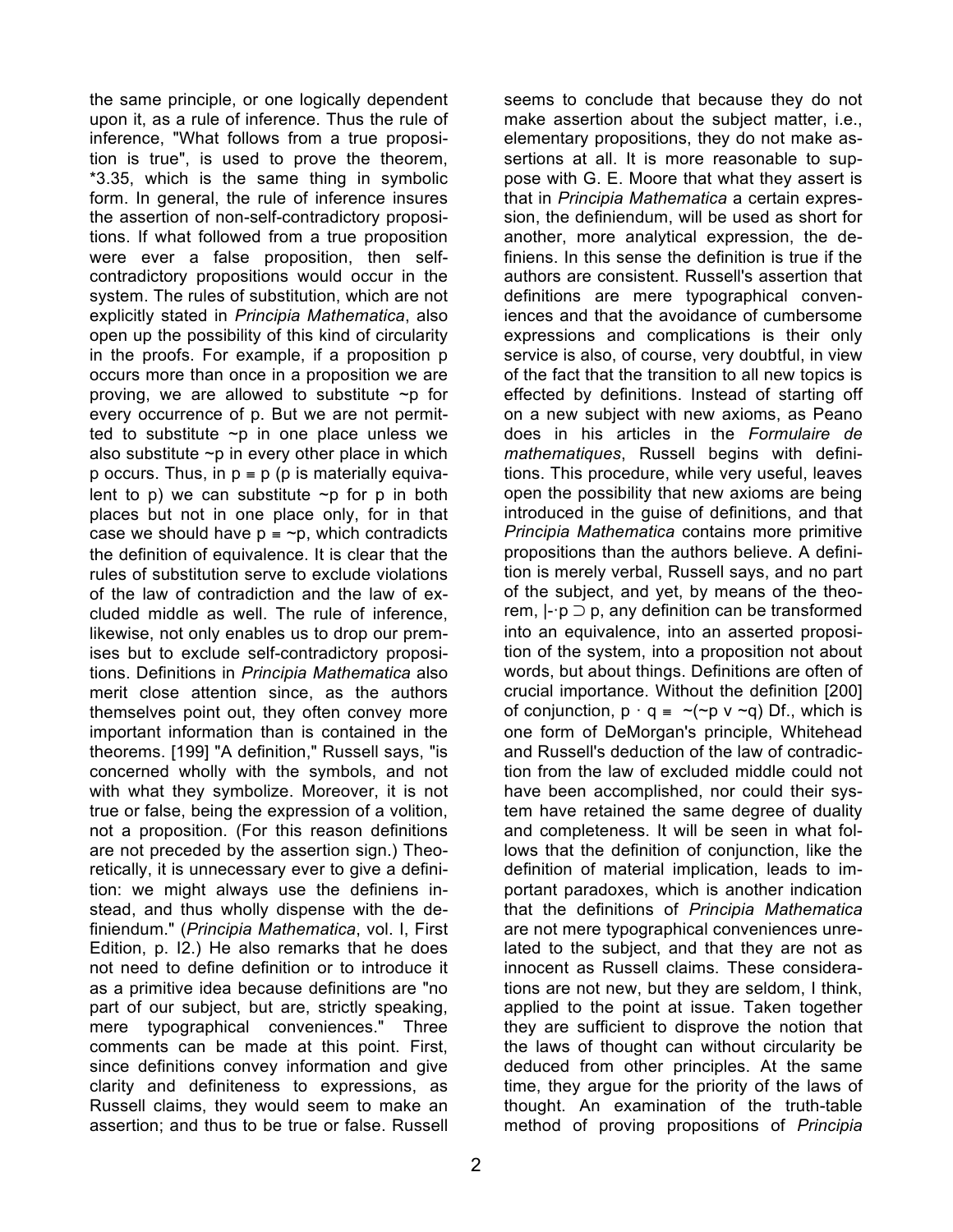the same principle, or one logically dependent upon it, as a rule of inference. Thus the rule of inference, "What follows from a true proposition is true", is used to prove the theorem, \*3.35, which is the same thing in symbolic form. In general, the rule of inference insures the assertion of non-self-contradictory propositions. If what followed from a true proposition were ever a false proposition, then selfcontradictory propositions would occur in the system. The rules of substitution, which are not explicitly stated in *Principia Mathematica*, also open up the possibility of this kind of circularity in the proofs. For example, if a proposition p occurs more than once in a proposition we are proving, we are allowed to substitute  $\sim p$  for every occurrence of p. But we are not permitted to substitute  $\neg p$  in one place unless we also substitute  $\neg p$  in every other place in which p occurs. Thus, in  $p = p$  (p is materially equivalent to p) we can substitute  $\neg p$  for p in both places but not in one place only, for in that case we should have  $p = \sim p$ , which contradicts the definition of equivalence. It is clear that the rules of substitution serve to exclude violations of the law of contradiction and the law of excluded middle as well. The rule of inference, likewise, not only enables us to drop our premises but to exclude self-contradictory propositions. Definitions in *Principia Mathematica* also merit close attention since, as the authors themselves point out, they often convey more important information than is contained in the theorems. [199] "A definition," Russell says, "is concerned wholly with the symbols, and not with what they symbolize. Moreover, it is not true or false, being the expression of a volition, not a proposition. (For this reason definitions are not preceded by the assertion sign.) Theoretically, it is unnecessary ever to give a definition: we might always use the definiens instead, and thus wholly dispense with the definiendum." (*Principia Mathematica*, vol. I, First Edition, p. I2.) He also remarks that he does not need to define definition or to introduce it as a primitive idea because definitions are "no part of our subject, but are, strictly speaking, mere typographical conveniences." Three comments can be made at this point. First, since definitions convey information and give clarity and definiteness to expressions, as Russell claims, they would seem to make an assertion; and thus to be true or false. Russell

seems to conclude that because they do not make assertion about the subject matter, i.e., elementary propositions, they do not make assertions at all. It is more reasonable to suppose with G. E. Moore that what they assert is that in *Principia Mathematica* a certain expression, the definiendum, will be used as short for another, more analytical expression, the definiens. In this sense the definition is true if the authors are consistent. Russell's assertion that definitions are mere typographical conveniences and that the avoidance of cumbersome expressions and complications is their only service is also, of course, very doubtful, in view of the fact that the transition to all new topics is effected by definitions. Instead of starting off on a new subject with new axioms, as Peano does in his articles in the *Formulaire de mathematiques*, Russell begins with definitions. This procedure, while very useful, leaves open the possibility that new axioms are being introduced in the guise of definitions, and that *Principia Mathematica* contains more primitive propositions than the authors believe. A definition is merely verbal, Russell says, and no part of the subject, and yet, by means of the theorem,  $\vert \cdot \rho \supset \rho$ , any definition can be transformed into an equivalence, into an asserted proposition of the system, into a proposition not about words, but about things. Definitions are often of crucial importance. Without the definition [200] of conjunction,  $p \cdot q = \sim (p \vee q)$  Df., which is one form of DeMorgan's principle, Whitehead and Russell's deduction of the law of contradiction from the law of excluded middle could not have been accomplished, nor could their system have retained the same degree of duality and completeness. It will be seen in what follows that the definition of conjunction, like the definition of material implication, leads to important paradoxes, which is another indication that the definitions of *Principia Mathematica* are not mere typographical conveniences unrelated to the subject, and that they are not as innocent as Russell claims. These considerations are not new, but they are seldom, I think, applied to the point at issue. Taken together they are sufficient to disprove the notion that the laws of thought can without circularity be deduced from other principles. At the same time, they argue for the priority of the laws of thought. An examination of the truth-table method of proving propositions of *Principia*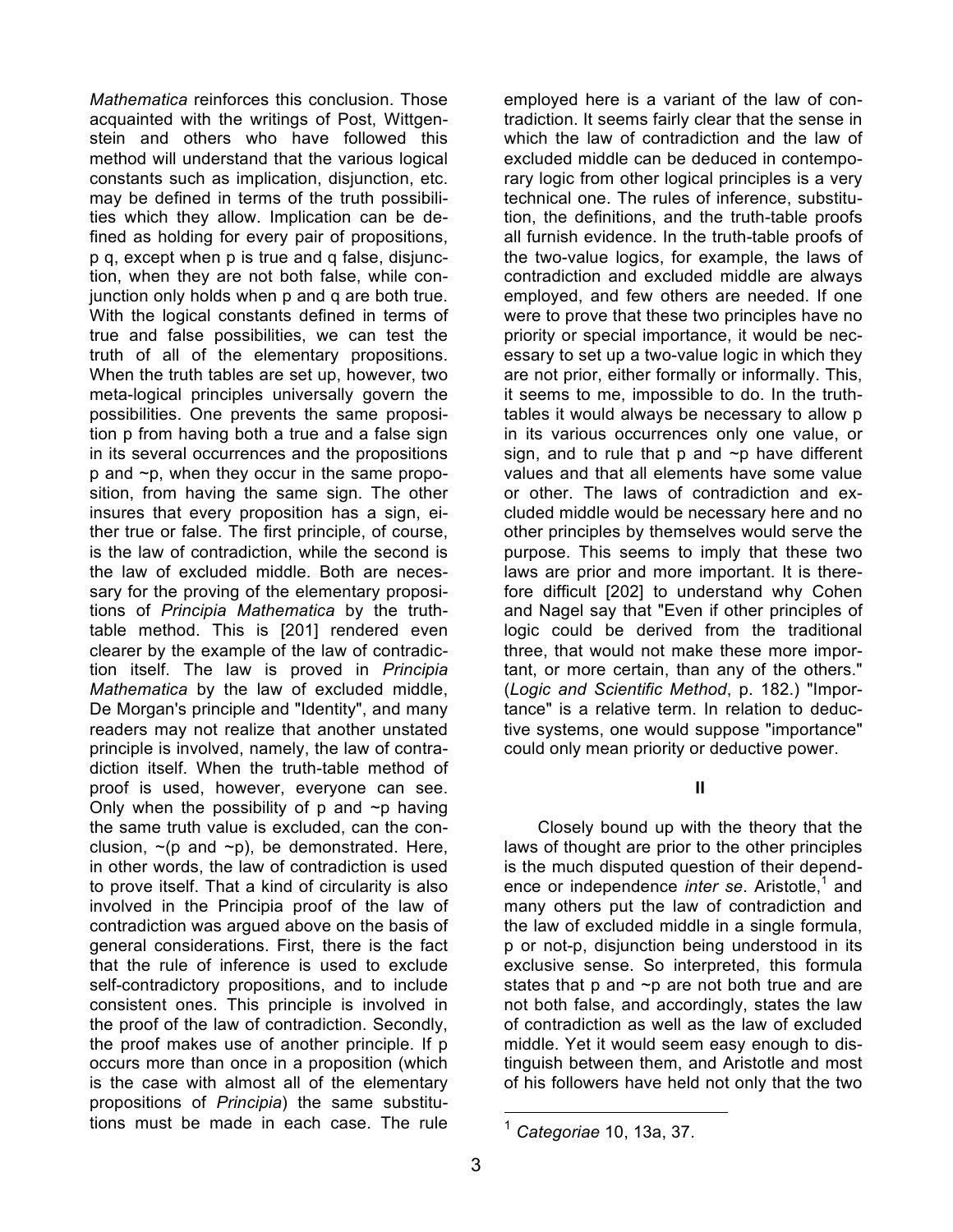*Mathematica* reinforces this conclusion. Those acquainted with the writings of Post, Wittgenstein and others who have followed this method will understand that the various logical constants such as implication, disjunction, etc. may be defined in terms of the truth possibilities which they allow. Implication can be defined as holding for every pair of propositions, p q, except when p is true and q false, disjunction, when they are not both false, while conjunction only holds when p and q are both true. With the logical constants defined in terms of true and false possibilities, we can test the truth of all of the elementary propositions. When the truth tables are set up, however, two meta-logical principles universally govern the possibilities. One prevents the same proposition p from having both a true and a false sign in its several occurrences and the propositions p and ~p, when they occur in the same proposition, from having the same sign. The other insures that every proposition has a sign, either true or false. The first principle, of course, is the law of contradiction, while the second is the law of excluded middle. Both are necessary for the proving of the elementary propositions of *Principia Mathematica* by the truthtable method. This is [201] rendered even clearer by the example of the law of contradiction itself. The law is proved in *Principia Mathematica* by the law of excluded middle, De Morgan's principle and "Identity", and many readers may not realize that another unstated principle is involved, namely, the law of contradiction itself. When the truth-table method of proof is used, however, everyone can see. Only when the possibility of p and  $\neg p$  having the same truth value is excluded, can the conclusion,  $\sim$ (p and  $\sim$ p), be demonstrated. Here, in other words, the law of contradiction is used to prove itself. That a kind of circularity is also involved in the Principia proof of the law of contradiction was argued above on the basis of general considerations. First, there is the fact that the rule of inference is used to exclude self-contradictory propositions, and to include consistent ones. This principle is involved in the proof of the law of contradiction. Secondly, the proof makes use of another principle. If p occurs more than once in a proposition (which is the case with almost all of the elementary propositions of *Principia*) the same substitutions must be made in each case. The rule

employed here is a variant of the law of contradiction. It seems fairly clear that the sense in which the law of contradiction and the law of excluded middle can be deduced in contemporary logic from other logical principles is a very technical one. The rules of inference, substitution, the definitions, and the truth-table proofs all furnish evidence. In the truth-table proofs of the two-value logics, for example, the laws of contradiction and excluded middle are always employed, and few others are needed. If one were to prove that these two principles have no priority or special importance, it would be necessary to set up a two-value logic in which they are not prior, either formally or informally. This, it seems to me, impossible to do. In the truthtables it would always be necessary to allow p in its various occurrences only one value, or sign, and to rule that  $p$  and  $\neg p$  have different values and that all elements have some value or other. The laws of contradiction and excluded middle would be necessary here and no other principles by themselves would serve the purpose. This seems to imply that these two laws are prior and more important. It is therefore difficult [202] to understand why Cohen and Nagel say that "Even if other principles of logic could be derived from the traditional three, that would not make these more important, or more certain, than any of the others." (*Logic and Scientific Method*, p. 182.) "Importance" is a relative term. In relation to deductive systems, one would suppose "importance" could only mean priority or deductive power.

## **II**

Closely bound up with the theory that the laws of thought are prior to the other principles is the much disputed question of their dependence or independence *inter se*. Aristotle,<sup>1</sup> and many others put the law of contradiction and the law of excluded middle in a single formula, p or not-p, disjunction being understood in its exclusive sense. So interpreted, this formula states that p and  $\neg p$  are not both true and are not both false, and accordingly, states the law of contradiction as well as the law of excluded middle. Yet it would seem easy enough to distinguish between them, and Aristotle and most of his followers have held not only that the two

 <sup>1</sup> *Categoriae* 10, 13a, 37.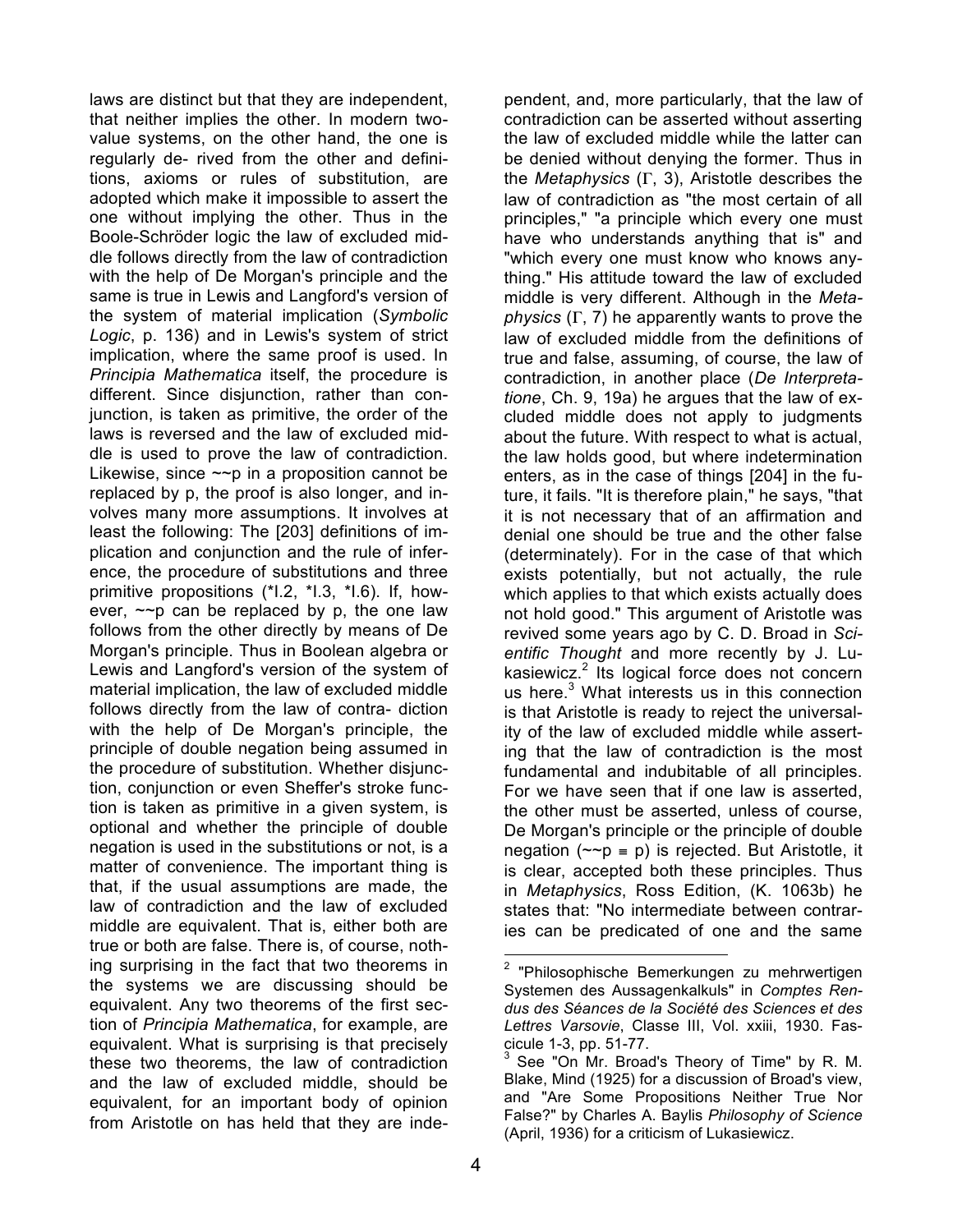laws are distinct but that they are independent, that neither implies the other. In modern twovalue systems, on the other hand, the one is regularly de- rived from the other and definitions, axioms or rules of substitution, are adopted which make it impossible to assert the one without implying the other. Thus in the Boole-Schröder logic the law of excluded middle follows directly from the law of contradiction with the help of De Morgan's principle and the same is true in Lewis and Langford's version of the system of material implication (*Symbolic Logic*, p. 136) and in Lewis's system of strict implication, where the same proof is used. In *Principia Mathematica* itself, the procedure is different. Since disjunction, rather than conjunction, is taken as primitive, the order of the laws is reversed and the law of excluded middle is used to prove the law of contradiction. Likewise, since  $\sim$  p in a proposition cannot be replaced by p, the proof is also longer, and involves many more assumptions. It involves at least the following: The [203] definitions of implication and conjunction and the rule of inference, the procedure of substitutions and three primitive propositions (\*I.2, \*I.3, \*I.6). If, however,  $\sim$  p can be replaced by p, the one law follows from the other directly by means of De Morgan's principle. Thus in Boolean algebra or Lewis and Langford's version of the system of material implication, the law of excluded middle follows directly from the law of contra- diction with the help of De Morgan's principle, the principle of double negation being assumed in the procedure of substitution. Whether disjunction, conjunction or even Sheffer's stroke function is taken as primitive in a given system, is optional and whether the principle of double negation is used in the substitutions or not, is a matter of convenience. The important thing is that, if the usual assumptions are made, the law of contradiction and the law of excluded middle are equivalent. That is, either both are true or both are false. There is, of course, nothing surprising in the fact that two theorems in the systems we are discussing should be equivalent. Any two theorems of the first section of *Principia Mathematica*, for example, are equivalent. What is surprising is that precisely these two theorems, the law of contradiction and the law of excluded middle, should be equivalent, for an important body of opinion from Aristotle on has held that they are independent, and, more particularly, that the law of contradiction can be asserted without asserting the law of excluded middle while the latter can be denied without denying the former. Thus in the *Metaphysics* (Γ, 3), Aristotle describes the law of contradiction as "the most certain of all principles," "a principle which every one must have who understands anything that is" and "which every one must know who knows anything." His attitude toward the law of excluded middle is very different. Although in the *Metaphysics* (Γ, 7) he apparently wants to prove the law of excluded middle from the definitions of true and false, assuming, of course, the law of contradiction, in another place (*De Interpretatione*, Ch. 9, 19a) he argues that the law of excluded middle does not apply to judgments about the future. With respect to what is actual, the law holds good, but where indetermination enters, as in the case of things [204] in the future, it fails. "It is therefore plain," he says, "that it is not necessary that of an affirmation and denial one should be true and the other false (determinately). For in the case of that which exists potentially, but not actually, the rule which applies to that which exists actually does not hold good." This argument of Aristotle was revived some years ago by C. D. Broad in *Scientific Thought* and more recently by J. Lukasiewicz.<sup>2</sup> Its logical force does not concern us here.<sup>3</sup> What interests us in this connection is that Aristotle is ready to reject the universality of the law of excluded middle while asserting that the law of contradiction is the most fundamental and indubitable of all principles. For we have seen that if one law is asserted, the other must be asserted, unless of course, De Morgan's principle or the principle of double negation ( $\sim p \equiv p$ ) is rejected. But Aristotle, it is clear, accepted both these principles. Thus in *Metaphysics*, Ross Edition, (K. 1063b) he states that: "No intermediate between contraries can be predicated of one and the same

<sup>&</sup>lt;sup>2</sup> "Philosophische Bemerkungen zu mehrwertigen Systemen des Aussagenkalkuls" in *Comptes Rendus des Séances de la Société des Sciences et des Lettres Varsovie*, Classe III, Vol. xxiii, 1930. Fascicule 1-3, pp. 51-77.

See "On Mr. Broad's Theory of Time" by R. M. Blake, Mind (1925) for a discussion of Broad's view, and "Are Some Propositions Neither True Nor False?" by Charles A. Baylis *Philosophy of Science* (April, 1936) for a criticism of Lukasiewicz.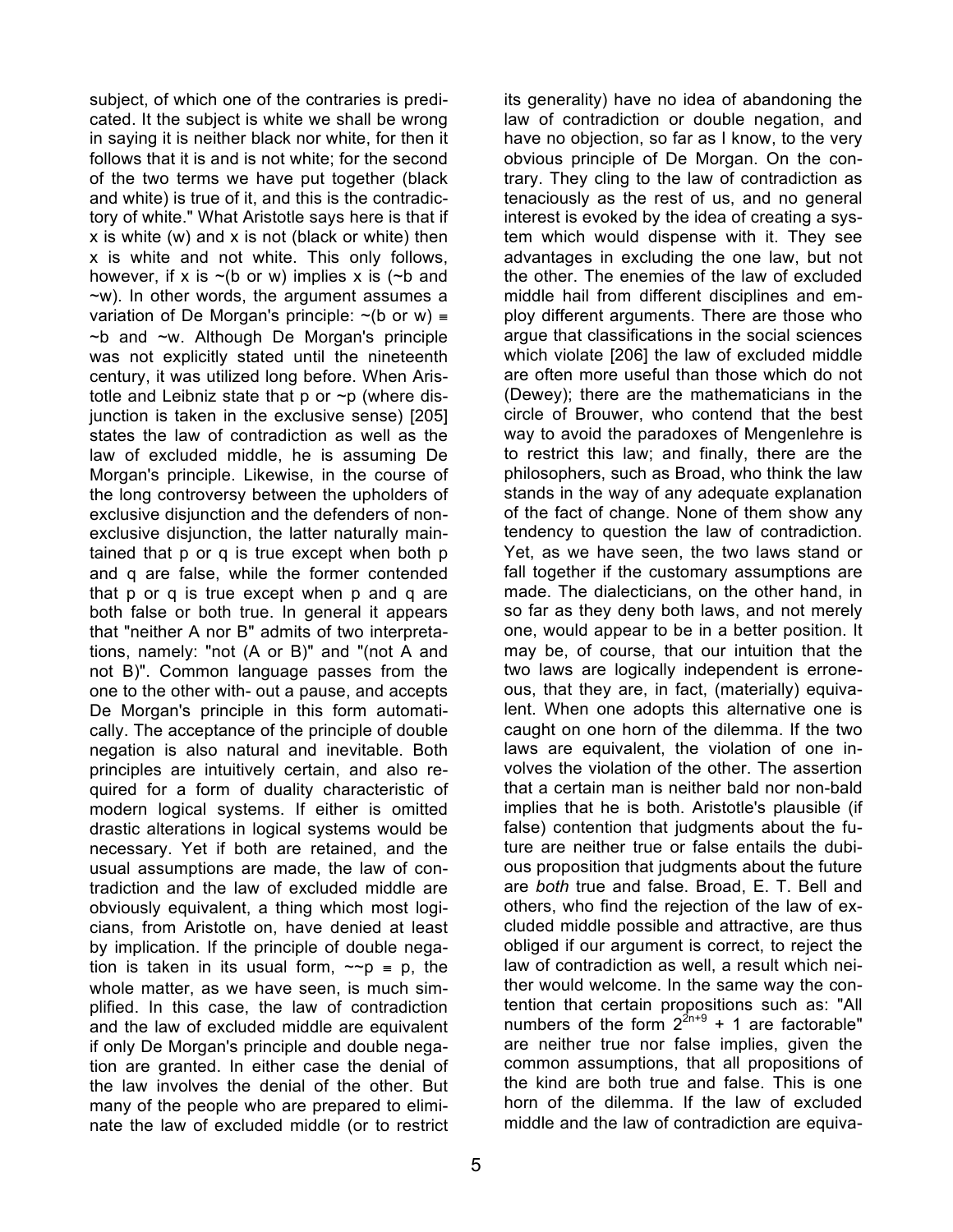subject, of which one of the contraries is predicated. It the subject is white we shall be wrong in saying it is neither black nor white, for then it follows that it is and is not white; for the second of the two terms we have put together (black and white) is true of it, and this is the contradictory of white." What Aristotle says here is that if x is white (w) and x is not (black or white) then x is white and not white. This only follows, however, if x is  $\sim$ (b or w) implies x is ( $\sim$ b and ~w). In other words, the argument assumes a variation of De Morgan's principle:  $\sim$ (b or w) =  $\neg$ b and  $\neg$ w. Although De Morgan's principle was not explicitly stated until the nineteenth century, it was utilized long before. When Aristotle and Leibniz state that  $p$  or  $\neg p$  (where disjunction is taken in the exclusive sense) [205] states the law of contradiction as well as the law of excluded middle, he is assuming De Morgan's principle. Likewise, in the course of the long controversy between the upholders of exclusive disjunction and the defenders of nonexclusive disjunction, the latter naturally maintained that p or q is true except when both p and q are false, while the former contended that p or q is true except when p and q are both false or both true. In general it appears that "neither A nor B" admits of two interpretations, namely: "not (A or B)" and "(not A and not B)". Common language passes from the one to the other with- out a pause, and accepts De Morgan's principle in this form automatically. The acceptance of the principle of double negation is also natural and inevitable. Both principles are intuitively certain, and also required for a form of duality characteristic of modern logical systems. If either is omitted drastic alterations in logical systems would be necessary. Yet if both are retained, and the usual assumptions are made, the law of contradiction and the law of excluded middle are obviously equivalent, a thing which most logicians, from Aristotle on, have denied at least by implication. If the principle of double negation is taken in its usual form,  $\sim p = p$ , the whole matter, as we have seen, is much simplified. In this case, the law of contradiction and the law of excluded middle are equivalent if only De Morgan's principle and double negation are granted. In either case the denial of the law involves the denial of the other. But many of the people who are prepared to eliminate the law of excluded middle (or to restrict

its generality) have no idea of abandoning the law of contradiction or double negation, and have no objection, so far as I know, to the very obvious principle of De Morgan. On the contrary. They cling to the law of contradiction as tenaciously as the rest of us, and no general interest is evoked by the idea of creating a system which would dispense with it. They see advantages in excluding the one law, but not the other. The enemies of the law of excluded middle hail from different disciplines and employ different arguments. There are those who argue that classifications in the social sciences which violate [206] the law of excluded middle are often more useful than those which do not (Dewey); there are the mathematicians in the circle of Brouwer, who contend that the best way to avoid the paradoxes of Mengenlehre is to restrict this law; and finally, there are the philosophers, such as Broad, who think the law stands in the way of any adequate explanation of the fact of change. None of them show any tendency to question the law of contradiction. Yet, as we have seen, the two laws stand or fall together if the customary assumptions are made. The dialecticians, on the other hand, in so far as they deny both laws, and not merely one, would appear to be in a better position. It may be, of course, that our intuition that the two laws are logically independent is erroneous, that they are, in fact, (materially) equivalent. When one adopts this alternative one is caught on one horn of the dilemma. If the two laws are equivalent, the violation of one involves the violation of the other. The assertion that a certain man is neither bald nor non-bald implies that he is both. Aristotle's plausible (if false) contention that judgments about the future are neither true or false entails the dubious proposition that judgments about the future are *both* true and false. Broad, E. T. Bell and others, who find the rejection of the law of excluded middle possible and attractive, are thus obliged if our argument is correct, to reject the law of contradiction as well, a result which neither would welcome. In the same way the contention that certain propositions such as: "All numbers of the form  $2^{2n+9}$  + 1 are factorable" are neither true nor false implies, given the common assumptions, that all propositions of the kind are both true and false. This is one horn of the dilemma. If the law of excluded middle and the law of contradiction are equiva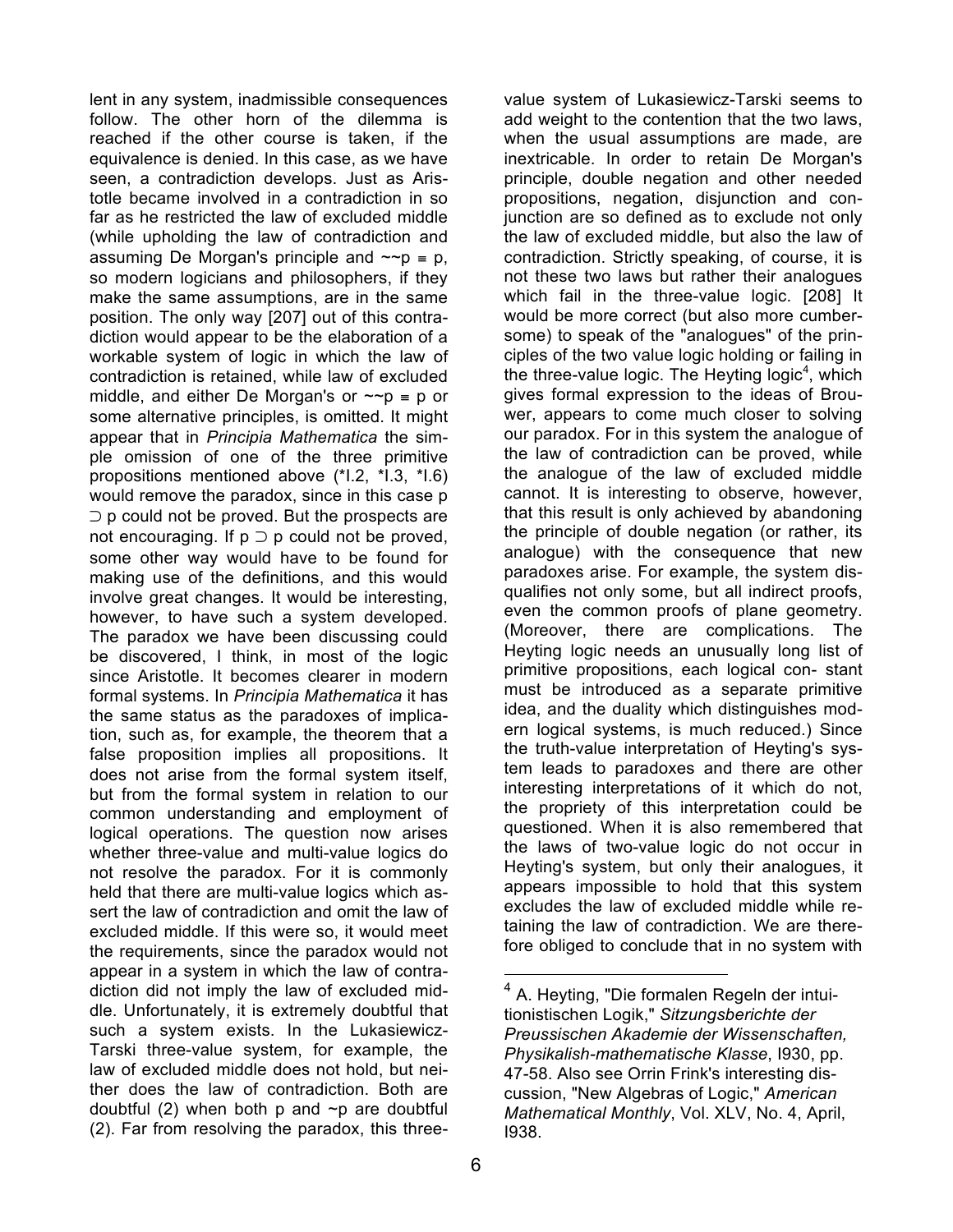lent in any system, inadmissible consequences follow. The other horn of the dilemma is reached if the other course is taken, if the equivalence is denied. In this case, as we have seen, a contradiction develops. Just as Aristotle became involved in a contradiction in so far as he restricted the law of excluded middle (while upholding the law of contradiction and assuming De Morgan's principle and  $\sim p = p$ , so modern logicians and philosophers, if they make the same assumptions, are in the same position. The only way [207] out of this contradiction would appear to be the elaboration of a workable system of logic in which the law of contradiction is retained, while law of excluded middle, and either De Morgan's or  $\sim p = p$  or some alternative principles, is omitted. It might appear that in *Principia Mathematica* the simple omission of one of the three primitive propositions mentioned above (\*I.2, \*I.3, \*I.6) would remove the paradox, since in this case p ⊃ p could not be proved. But the prospects are not encouraging. If  $p \supset p$  could not be proved, some other way would have to be found for making use of the definitions, and this would involve great changes. It would be interesting, however, to have such a system developed. The paradox we have been discussing could be discovered, I think, in most of the logic since Aristotle. It becomes clearer in modern formal systems. In *Principia Mathematica* it has the same status as the paradoxes of implication, such as, for example, the theorem that a false proposition implies all propositions. It does not arise from the formal system itself, but from the formal system in relation to our common understanding and employment of logical operations. The question now arises whether three-value and multi-value logics do not resolve the paradox. For it is commonly held that there are multi-value logics which assert the law of contradiction and omit the law of excluded middle. If this were so, it would meet the requirements, since the paradox would not appear in a system in which the law of contradiction did not imply the law of excluded middle. Unfortunately, it is extremely doubtful that such a system exists. In the Lukasiewicz-Tarski three-value system, for example, the law of excluded middle does not hold, but neither does the law of contradiction. Both are doubtful (2) when both  $p$  and  $\neg p$  are doubtful (2). Far from resolving the paradox, this threevalue system of Lukasiewicz-Tarski seems to add weight to the contention that the two laws, when the usual assumptions are made, are inextricable. In order to retain De Morgan's principle, double negation and other needed propositions, negation, disjunction and conjunction are so defined as to exclude not only the law of excluded middle, but also the law of contradiction. Strictly speaking, of course, it is not these two laws but rather their analogues which fail in the three-value logic. [208] It would be more correct (but also more cumbersome) to speak of the "analogues" of the principles of the two value logic holding or failing in the three-value logic. The Heyting logic<sup>4</sup>, which gives formal expression to the ideas of Brouwer, appears to come much closer to solving our paradox. For in this system the analogue of the law of contradiction can be proved, while the analogue of the law of excluded middle cannot. It is interesting to observe, however, that this result is only achieved by abandoning the principle of double negation (or rather, its analogue) with the consequence that new paradoxes arise. For example, the system disqualifies not only some, but all indirect proofs, even the common proofs of plane geometry. (Moreover, there are complications. The Heyting logic needs an unusually long list of primitive propositions, each logical con- stant must be introduced as a separate primitive idea, and the duality which distinguishes modern logical systems, is much reduced.) Since the truth-value interpretation of Heyting's system leads to paradoxes and there are other interesting interpretations of it which do not, the propriety of this interpretation could be questioned. When it is also remembered that the laws of two-value logic do not occur in Heyting's system, but only their analogues, it appears impossible to hold that this system excludes the law of excluded middle while retaining the law of contradiction. We are therefore obliged to conclude that in no system with

<sup>&</sup>lt;sup>4</sup> A. Heyting, "Die formalen Regeln der intuitionistischen Logik," *Sitzungsberichte der Preussischen Akademie der Wissenschaften, Physikalish-mathematische Klasse*, I930, pp. 47-58. Also see Orrin Frink's interesting discussion, "New Algebras of Logic," *American Mathematical Monthly*, Vol. XLV, No. 4, April, I938.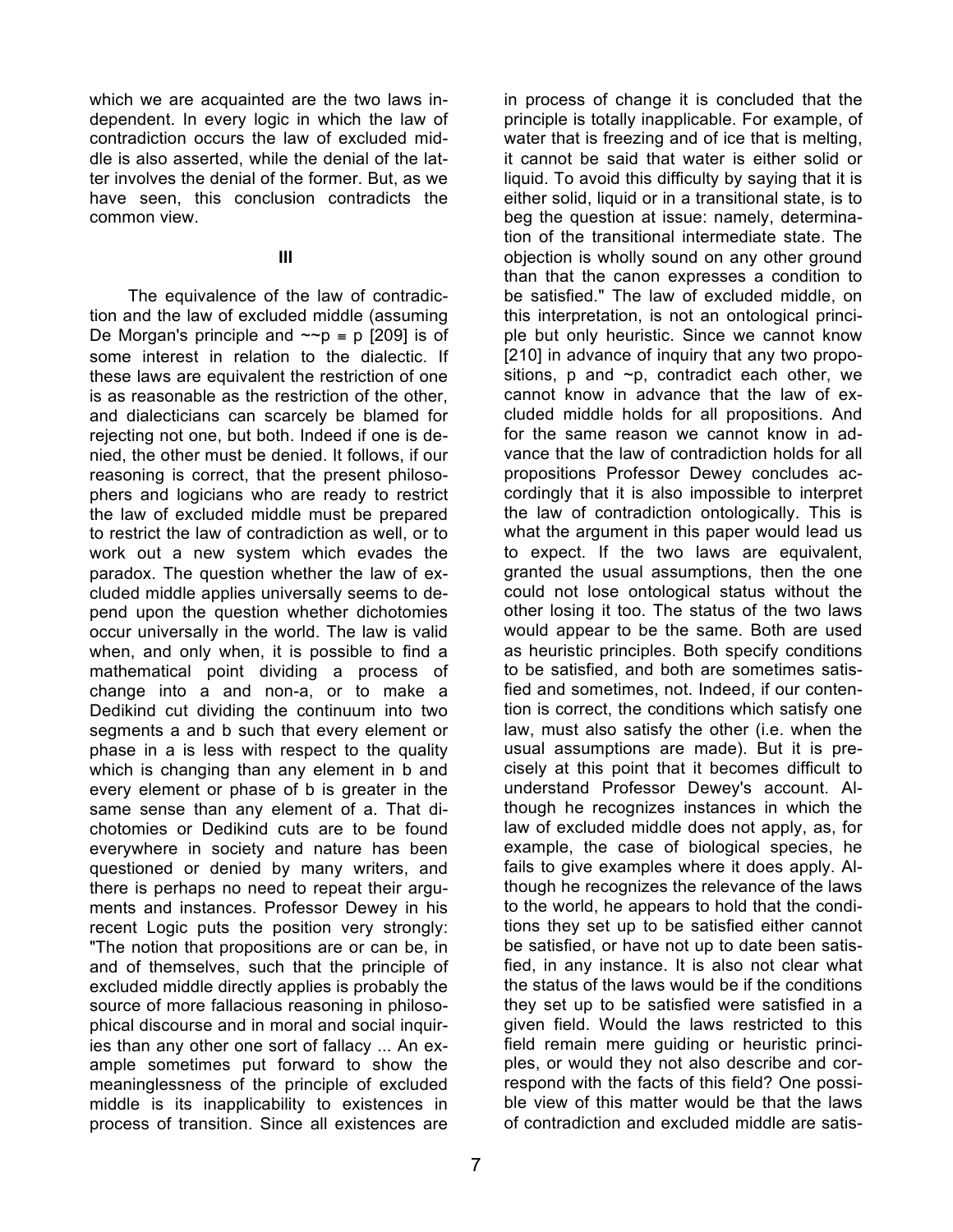which we are acquainted are the two laws independent. In every logic in which the law of contradiction occurs the law of excluded middle is also asserted, while the denial of the latter involves the denial of the former. But, as we have seen, this conclusion contradicts the common view.

**III**

The equivalence of the law of contradiction and the law of excluded middle (assuming De Morgan's principle and  $\sim p$  = p [209] is of some interest in relation to the dialectic. If these laws are equivalent the restriction of one is as reasonable as the restriction of the other, and dialecticians can scarcely be blamed for rejecting not one, but both. Indeed if one is denied, the other must be denied. It follows, if our reasoning is correct, that the present philosophers and logicians who are ready to restrict the law of excluded middle must be prepared to restrict the law of contradiction as well, or to work out a new system which evades the paradox. The question whether the law of excluded middle applies universally seems to depend upon the question whether dichotomies occur universally in the world. The law is valid when, and only when, it is possible to find a mathematical point dividing a process of change into a and non-a, or to make a Dedikind cut dividing the continuum into two segments a and b such that every element or phase in a is less with respect to the quality which is changing than any element in b and every element or phase of b is greater in the same sense than any element of a. That dichotomies or Dedikind cuts are to be found everywhere in society and nature has been questioned or denied by many writers, and there is perhaps no need to repeat their arguments and instances. Professor Dewey in his recent Logic puts the position very strongly: "The notion that propositions are or can be, in and of themselves, such that the principle of excluded middle directly applies is probably the source of more fallacious reasoning in philosophical discourse and in moral and social inquiries than any other one sort of fallacy ... An example sometimes put forward to show the meaninglessness of the principle of excluded middle is its inapplicability to existences in process of transition. Since all existences are

7

in process of change it is concluded that the principle is totally inapplicable. For example, of water that is freezing and of ice that is melting, it cannot be said that water is either solid or liquid. To avoid this difficulty by saying that it is either solid, liquid or in a transitional state, is to beg the question at issue: namely, determination of the transitional intermediate state. The objection is wholly sound on any other ground than that the canon expresses a condition to be satisfied." The law of excluded middle, on this interpretation, is not an ontological principle but only heuristic. Since we cannot know [210] in advance of inquiry that any two propositions, p and  $\neg p$ , contradict each other, we cannot know in advance that the law of excluded middle holds for all propositions. And for the same reason we cannot know in advance that the law of contradiction holds for all propositions Professor Dewey concludes accordingly that it is also impossible to interpret the law of contradiction ontologically. This is what the argument in this paper would lead us to expect. If the two laws are equivalent, granted the usual assumptions, then the one could not lose ontological status without the other losing it too. The status of the two laws would appear to be the same. Both are used as heuristic principles. Both specify conditions to be satisfied, and both are sometimes satisfied and sometimes, not. Indeed, if our contention is correct, the conditions which satisfy one law, must also satisfy the other (i.e. when the usual assumptions are made). But it is precisely at this point that it becomes difficult to understand Professor Dewey's account. Although he recognizes instances in which the law of excluded middle does not apply, as, for example, the case of biological species, he fails to give examples where it does apply. Although he recognizes the relevance of the laws to the world, he appears to hold that the conditions they set up to be satisfied either cannot be satisfied, or have not up to date been satisfied, in any instance. It is also not clear what the status of the laws would be if the conditions they set up to be satisfied were satisfied in a given field. Would the laws restricted to this field remain mere guiding or heuristic principles, or would they not also describe and correspond with the facts of this field? One possible view of this matter would be that the laws of contradiction and excluded middle are satis